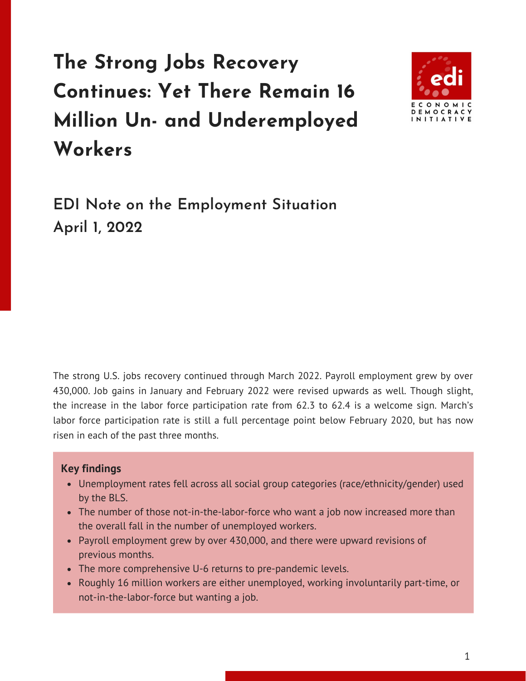## **The Strong Jobs Recovery Continues: Yet There Remain 16 Million Un- and Underemployed Workers**



**EDI Note on the Employment Situation April 1, 2022**

The strong U.S. jobs recovery continued through March 2022. Payroll employment grew by over 430,000. Job gains in January and February 2022 were revised upwards as well. Though slight, the increase in the labor force participation rate from 62.3 to 62.4 is a welcome sign. March's labor force participation rate is still a full percentage point below February 2020, but has now risen in each of the past three months.

## **Key findings**

- Unemployment rates fell across all social group categories (race/ethnicity/gender) used by the BLS.
- The number of those not-in-the-labor-force who want a job now increased more than the overall fall in the number of unemployed workers.
- Payroll employment grew by over 430,000, and there were upward revisions of previous months.
- The more comprehensive U-6 returns to pre-pandemic levels.
- Roughly 16 million workers are either unemployed, working involuntarily part-time, or not-in-the-labor-force but wanting a job.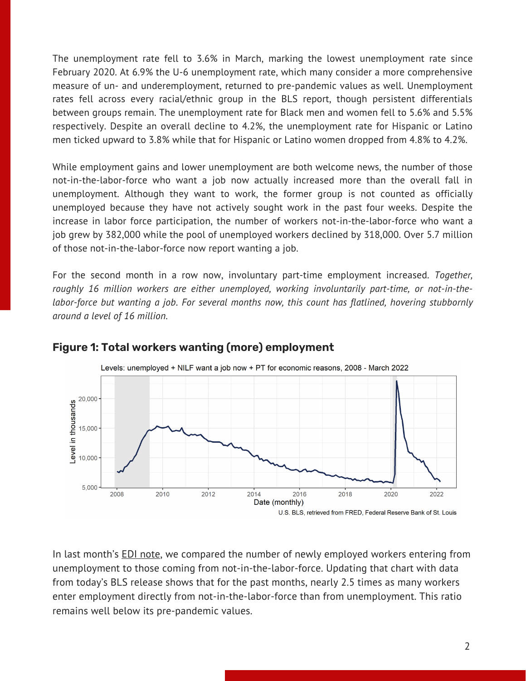The unemployment rate fell to 3.6% in March, marking the lowest unemployment rate since February 2020. At 6.9% the U-6 unemployment rate, which many consider a more comprehensive measure of un- and underemployment, returned to pre-pandemic values as well. Unemployment rates fell across every racial/ethnic group in the BLS report, though persistent differentials between groups remain. The unemployment rate for Black men and women fell to 5.6% and 5.5% respectively. Despite an overall decline to 4.2%, the unemployment rate for Hispanic or Latino men ticked upward to 3.8% while that for Hispanic or Latino women dropped from 4.8% to 4.2%.

While employment gains and lower unemployment are both welcome news, the number of those not-in-the-labor-force who want a job now actually increased more than the overall fall in unemployment. Although they want to work, the former group is not counted as officially unemployed because they have not actively sought work in the past four weeks. Despite the increase in labor force participation, the number of workers not-in-the-labor-force who want a job grew by 382,000 while the pool of unemployed workers declined by 318,000. Over 5.7 million of those not-in-the-labor-force now report wanting a job.

For the second month in a row now, involuntary part-time employment increased. *Together, roughly 16 million workers are either unemployed, working involuntarily part-time, or not-in-thelabor-force but wanting a job. For several months now, this count has flatlined, hovering stubbornly around a level of 16 million.*



## **Figure 1: Total workers wanting (more) employment**

In last month's EDI [note](https://edi.bard.edu/research/notes/), we compared the number of newly employed workers entering from unemployment to those coming from not-in-the-labor-force. Updating that chart with data from today's BLS release shows that for the past months, nearly 2.5 times as many workers enter employment directly from not-in-the-labor-force than from unemployment. This ratio remains well below its pre-pandemic values.